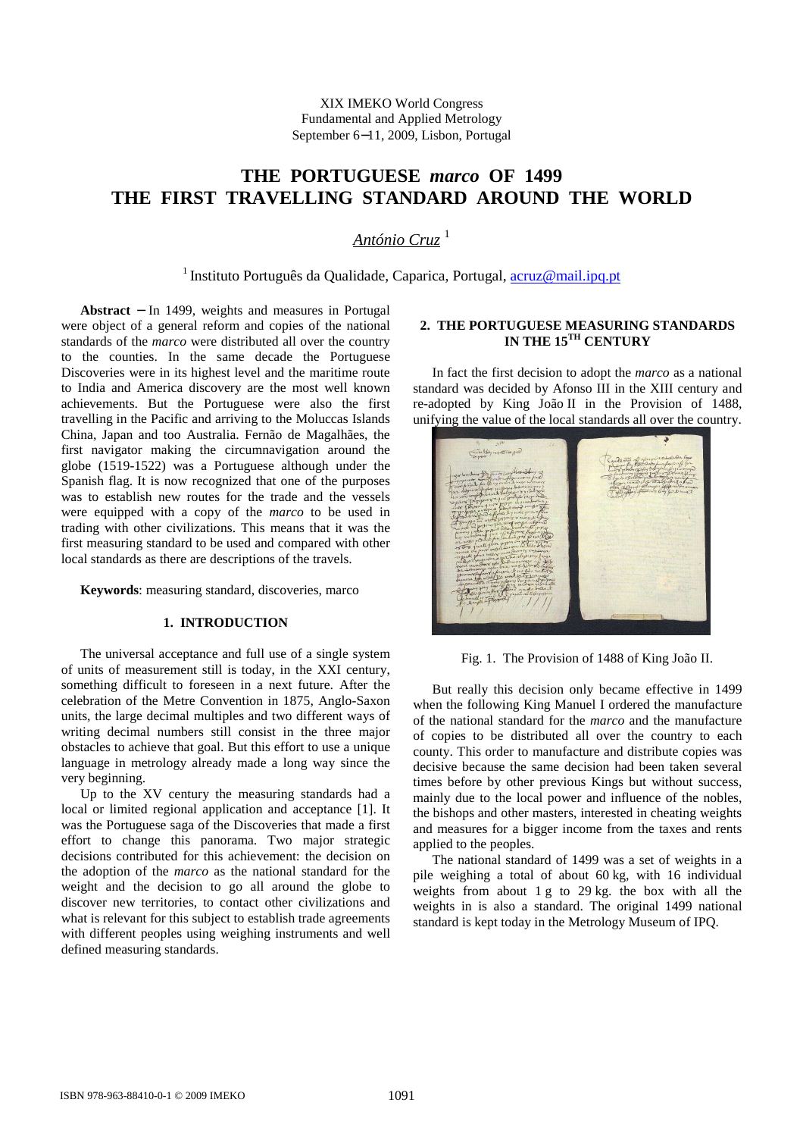XIX IMEKO World Congress Fundamental and Applied Metrology September 6−11, 2009, Lisbon, Portugal

# **THE PORTUGUESE** *marco* **OF 1499 THE FIRST TRAVELLING STANDARD AROUND THE WORLD**

*António Cruz* <sup>1</sup>

<sup>1</sup> Instituto Português da Qualidade, Caparica, Portugal, *acruz@mail.ipq.pt* 

**Abstract** − In 1499, weights and measures in Portugal were object of a general reform and copies of the national standards of the *marco* were distributed all over the country to the counties. In the same decade the Portuguese Discoveries were in its highest level and the maritime route to India and America discovery are the most well known achievements. But the Portuguese were also the first travelling in the Pacific and arriving to the Moluccas Islands China, Japan and too Australia. Fernão de Magalhães, the first navigator making the circumnavigation around the globe (1519-1522) was a Portuguese although under the Spanish flag. It is now recognized that one of the purposes was to establish new routes for the trade and the vessels were equipped with a copy of the *marco* to be used in trading with other civilizations. This means that it was the first measuring standard to be used and compared with other local standards as there are descriptions of the travels.

**Keywords**: measuring standard, discoveries, marco

### **1. INTRODUCTION**

The universal acceptance and full use of a single system of units of measurement still is today, in the XXI century, something difficult to foreseen in a next future. After the celebration of the Metre Convention in 1875, Anglo-Saxon units, the large decimal multiples and two different ways of writing decimal numbers still consist in the three major obstacles to achieve that goal. But this effort to use a unique language in metrology already made a long way since the very beginning.

Up to the XV century the measuring standards had a local or limited regional application and acceptance [1]. It was the Portuguese saga of the Discoveries that made a first effort to change this panorama. Two major strategic decisions contributed for this achievement: the decision on the adoption of the *marco* as the national standard for the weight and the decision to go all around the globe to discover new territories, to contact other civilizations and what is relevant for this subject to establish trade agreements with different peoples using weighing instruments and well defined measuring standards.

## **2. THE PORTUGUESE MEASURING STANDARDS IN THE 15TH CENTURY**

In fact the first decision to adopt the *marco* as a national standard was decided by Afonso III in the XIII century and re-adopted by King João II in the Provision of 1488, unifying the value of the local standards all over the country.



Fig. 1. The Provision of 1488 of King João II.

But really this decision only became effective in 1499 when the following King Manuel I ordered the manufacture of the national standard for the *marco* and the manufacture of copies to be distributed all over the country to each county. This order to manufacture and distribute copies was decisive because the same decision had been taken several times before by other previous Kings but without success, mainly due to the local power and influence of the nobles, the bishops and other masters, interested in cheating weights and measures for a bigger income from the taxes and rents applied to the peoples.

The national standard of 1499 was a set of weights in a pile weighing a total of about 60 kg, with 16 individual weights from about 1 g to 29 kg. the box with all the weights in is also a standard. The original 1499 national standard is kept today in the Metrology Museum of IPQ.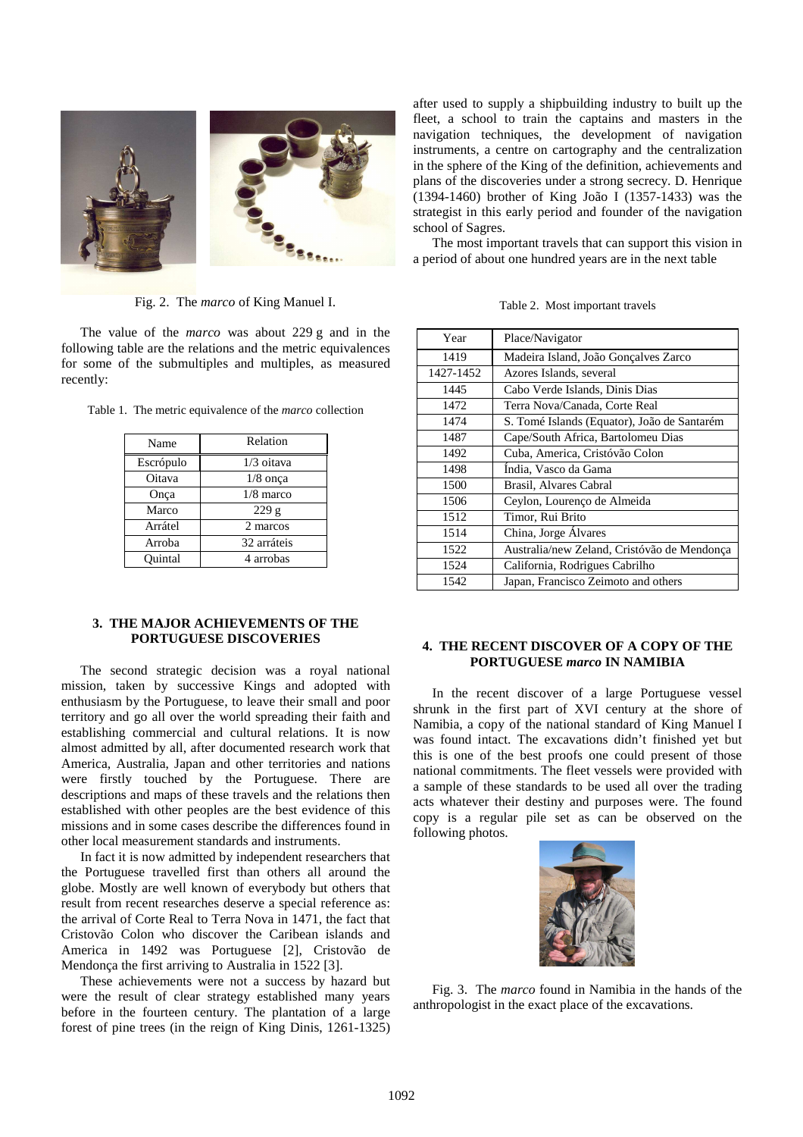

Fig. 2. The *marco* of King Manuel I.

The value of the *marco* was about 229 g and in the following table are the relations and the metric equivalences for some of the submultiples and multiples, as measured recently:

|  | Table 1. The metric equivalence of the <i>marco</i> collection |  |
|--|----------------------------------------------------------------|--|
|  |                                                                |  |

| Name      | Relation     |
|-----------|--------------|
| Escrópulo | $1/3$ oitava |
| Oitava    | $1/8$ onça   |
| Onça      | $1/8$ marco  |
| Marco     | 229g         |
| Arrátel   | 2 marcos     |
| Arroba    | 32 arráteis  |
| Ouintal   | 4 arrobas    |

#### **3. THE MAJOR ACHIEVEMENTS OF THE PORTUGUESE DISCOVERIES**

The second strategic decision was a royal national mission, taken by successive Kings and adopted with enthusiasm by the Portuguese, to leave their small and poor territory and go all over the world spreading their faith and establishing commercial and cultural relations. It is now almost admitted by all, after documented research work that America, Australia, Japan and other territories and nations were firstly touched by the Portuguese. There are descriptions and maps of these travels and the relations then established with other peoples are the best evidence of this missions and in some cases describe the differences found in other local measurement standards and instruments.

In fact it is now admitted by independent researchers that the Portuguese travelled first than others all around the globe. Mostly are well known of everybody but others that result from recent researches deserve a special reference as: the arrival of Corte Real to Terra Nova in 1471, the fact that Cristovão Colon who discover the Caribean islands and America in 1492 was Portuguese [2], Cristovão de Mendonça the first arriving to Australia in 1522 [3].

These achievements were not a success by hazard but were the result of clear strategy established many years before in the fourteen century. The plantation of a large forest of pine trees (in the reign of King Dinis, 1261-1325)

after used to supply a shipbuilding industry to built up the fleet, a school to train the captains and masters in the navigation techniques, the development of navigation instruments, a centre on cartography and the centralization in the sphere of the King of the definition, achievements and plans of the discoveries under a strong secrecy. D. Henrique (1394-1460) brother of King João I (1357-1433) was the strategist in this early period and founder of the navigation school of Sagres.

The most important travels that can support this vision in a period of about one hundred years are in the next table

| Year      | Place/Navigator                             |
|-----------|---------------------------------------------|
| 1419      | Madeira Island, João Gonçalves Zarco        |
| 1427-1452 | Azores Islands, several                     |
| 1445      | Cabo Verde Islands, Dinis Dias              |
| 1472      | Terra Nova/Canada, Corte Real               |
| 1474      | S. Tomé Islands (Equator), João de Santarém |
| 1487      | Cape/South Africa, Bartolomeu Dias          |
| 1492      | Cuba, America, Cristóvão Colon              |
| 1498      | India, Vasco da Gama                        |
| 1500      | Brasil, Alvares Cabral                      |
| 1506      | Ceylon, Lourenço de Almeida                 |
| 1512      | Timor, Rui Brito                            |
| 1514      | China, Jorge Álvares                        |
| 1522      | Australia/new Zeland, Cristóvão de Mendonça |
| 1524      | California, Rodrigues Cabrilho              |
| 1542      | Japan, Francisco Zeimoto and others         |

# **4. THE RECENT DISCOVER OF A COPY OF THE PORTUGUESE** *marco* **IN NAMIBIA**

In the recent discover of a large Portuguese vessel shrunk in the first part of XVI century at the shore of Namibia, a copy of the national standard of King Manuel I was found intact. The excavations didn't finished yet but this is one of the best proofs one could present of those national commitments. The fleet vessels were provided with a sample of these standards to be used all over the trading acts whatever their destiny and purposes were. The found copy is a regular pile set as can be observed on the following photos.



Fig. 3. The *marco* found in Namibia in the hands of the anthropologist in the exact place of the excavations.